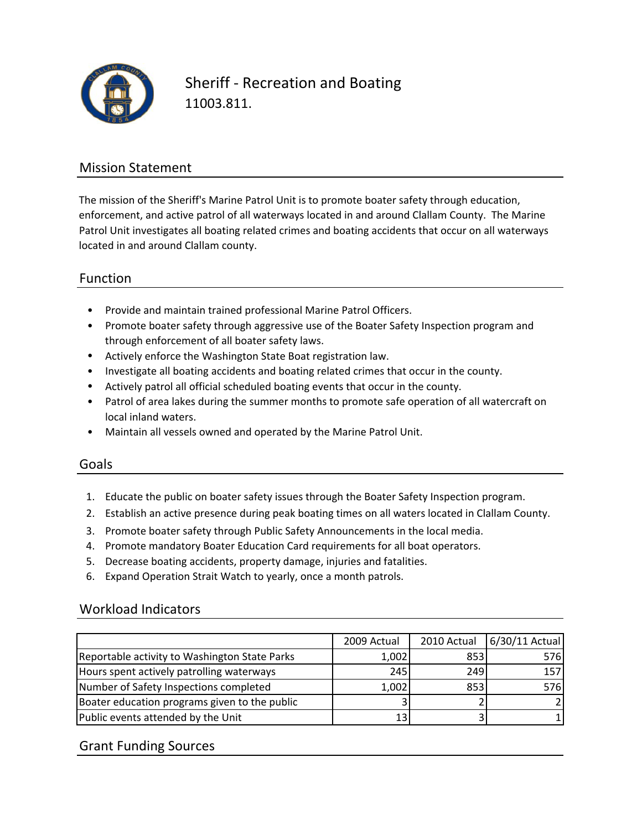

Sheriff ‐ Recreation and Boating 11003.811.

### Mission Statement

The mission of the Sheriff's Marine Patrol Unit is to promote boater safety through education, enforcement, and active patrol of all waterways located in and around Clallam County. The Marine Patrol Unit investigates all boating related crimes and boating accidents that occur on all waterways located in and around Clallam county.

### Function

- Provide and maintain trained professional Marine Patrol Officers.
- Promote boater safety through aggressive use of the Boater Safety Inspection program and through enforcement of all boater safety laws.
- Actively enforce the Washington State Boat registration law.
- Investigate all boating accidents and boating related crimes that occur in the county.
- Actively patrol all official scheduled boating events that occur in the county.
- Patrol of area lakes during the summer months to promote safe operation of all watercraft on local inland waters.
- Maintain all vessels owned and operated by the Marine Patrol Unit.

#### Goals

- 1. Educate the public on boater safety issues through the Boater Safety Inspection program.
- 2. Establish an active presence during peak boating times on all waters located in Clallam County.
- 3. Promote boater safety through Public Safety Announcements in the local media.
- 4. Promote mandatory Boater Education Card requirements for all boat operators.
- 5. Decrease boating accidents, property damage, injuries and fatalities.
- 6. Expand Operation Strait Watch to yearly, once a month patrols.

#### Workload Indicators

|                                               | 2009 Actual | 2010 Actual | 6/30/11 Actual |
|-----------------------------------------------|-------------|-------------|----------------|
| Reportable activity to Washington State Parks | 1,002       | 853         | 576            |
| Hours spent actively patrolling waterways     | 245         | 249         | 157            |
| Number of Safety Inspections completed        | 1,002       | 853         | 576            |
| Boater education programs given to the public |             |             |                |
| Public events attended by the Unit            | 131         |             |                |

### Grant Funding Sources